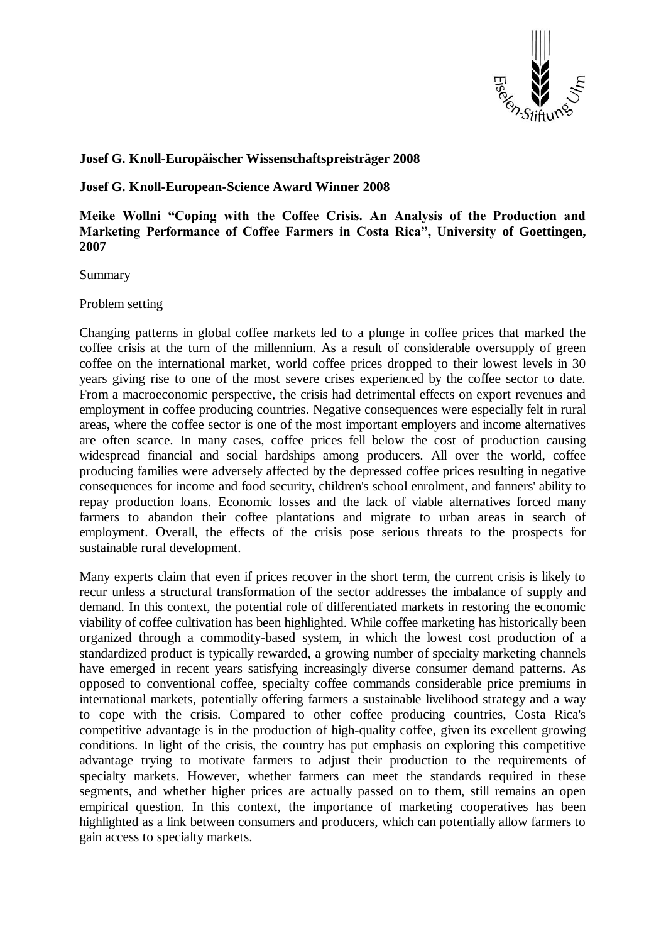

# **Josef G. Knoll-Europäischer Wissenschaftspreisträger 2008**

## **Josef G. Knoll-European-Science Award Winner 2008**

**Meike Wollni "Coping with the Coffee Crisis. An Analysis of the Production and Marketing Performance of Coffee Farmers in Costa Rica", University of Goettingen, 2007**

Summary

Problem setting

Changing patterns in global coffee markets led to a plunge in coffee prices that marked the coffee crisis at the turn of the millennium. As a result of considerable oversupply of green coffee on the international market, world coffee prices dropped to their lowest levels in 30 years giving rise to one of the most severe crises experienced by the coffee sector to date. From a macroeconomic perspective, the crisis had detrimental effects on export revenues and employment in coffee producing countries. Negative consequences were especially felt in rural areas, where the coffee sector is one of the most important employers and income alternatives are often scarce. In many cases, coffee prices fell below the cost of production causing widespread financial and social hardships among producers. All over the world, coffee producing families were adversely affected by the depressed coffee prices resulting in negative consequences for income and food security, children's school enrolment, and fanners' ability to repay production loans. Economic losses and the lack of viable alternatives forced many farmers to abandon their coffee plantations and migrate to urban areas in search of employment. Overall, the effects of the crisis pose serious threats to the prospects for sustainable rural development.

Many experts claim that even if prices recover in the short term, the current crisis is likely to recur unless a structural transformation of the sector addresses the imbalance of supply and demand. In this context, the potential role of differentiated markets in restoring the economic viability of coffee cultivation has been highlighted. While coffee marketing has historically been organized through a commodity-based system, in which the lowest cost production of a standardized product is typically rewarded, a growing number of specialty marketing channels have emerged in recent years satisfying increasingly diverse consumer demand patterns. As opposed to conventional coffee, specialty coffee commands considerable price premiums in international markets, potentially offering farmers a sustainable livelihood strategy and a way to cope with the crisis. Compared to other coffee producing countries, Costa Rica's competitive advantage is in the production of high-quality coffee, given its excellent growing conditions. In light of the crisis, the country has put emphasis on exploring this competitive advantage trying to motivate farmers to adjust their production to the requirements of specialty markets. However, whether farmers can meet the standards required in these segments, and whether higher prices are actually passed on to them, still remains an open empirical question. In this context, the importance of marketing cooperatives has been highlighted as a link between consumers and producers, which can potentially allow farmers to gain access to specialty markets.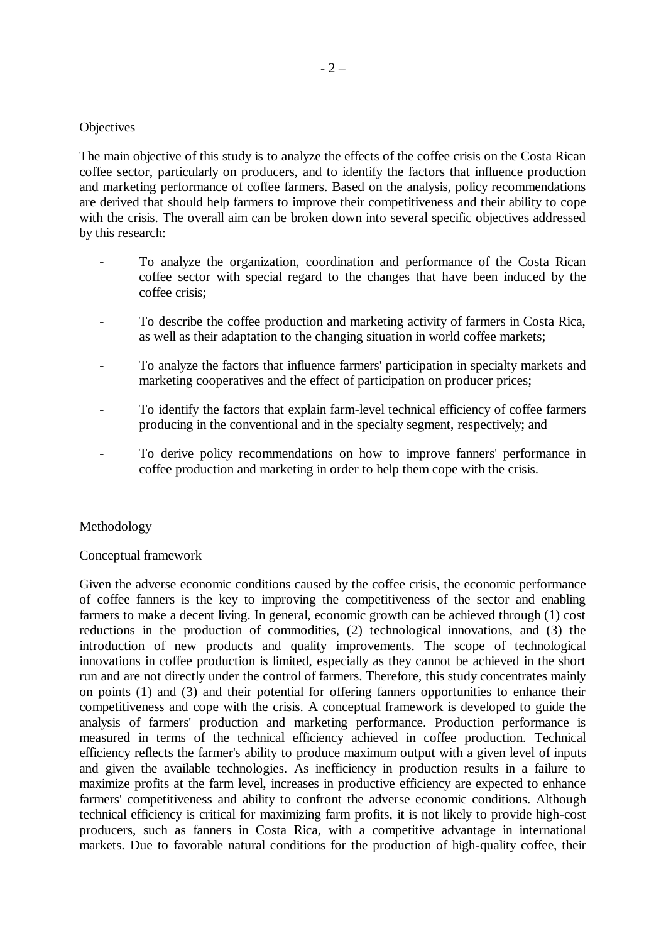## **Objectives**

The main objective of this study is to analyze the effects of the coffee crisis on the Costa Rican coffee sector, particularly on producers, and to identify the factors that influence production and marketing performance of coffee farmers. Based on the analysis, policy recommendations are derived that should help farmers to improve their competitiveness and their ability to cope with the crisis. The overall aim can be broken down into several specific objectives addressed by this research:

- To analyze the organization, coordination and performance of the Costa Rican coffee sector with special regard to the changes that have been induced by the coffee crisis;
- To describe the coffee production and marketing activity of farmers in Costa Rica, as well as their adaptation to the changing situation in world coffee markets;
- To analyze the factors that influence farmers' participation in specialty markets and marketing cooperatives and the effect of participation on producer prices;
- To identify the factors that explain farm-level technical efficiency of coffee farmers producing in the conventional and in the specialty segment, respectively; and
- To derive policy recommendations on how to improve fanners' performance in coffee production and marketing in order to help them cope with the crisis.

## Methodology

### Conceptual framework

Given the adverse economic conditions caused by the coffee crisis, the economic performance of coffee fanners is the key to improving the competitiveness of the sector and enabling farmers to make a decent living. In general, economic growth can be achieved through (1) cost reductions in the production of commodities, (2) technological innovations, and (3) the introduction of new products and quality improvements. The scope of technological innovations in coffee production is limited, especially as they cannot be achieved in the short run and are not directly under the control of farmers. Therefore, this study concentrates mainly on points (1) and (3) and their potential for offering fanners opportunities to enhance their competitiveness and cope with the crisis. A conceptual framework is developed to guide the analysis of farmers' production and marketing performance. Production performance is measured in terms of the technical efficiency achieved in coffee production. Technical efficiency reflects the farmer's ability to produce maximum output with a given level of inputs and given the available technologies. As inefficiency in production results in a failure to maximize profits at the farm level, increases in productive efficiency are expected to enhance farmers' competitiveness and ability to confront the adverse economic conditions. Although technical efficiency is critical for maximizing farm profits, it is not likely to provide high-cost producers, such as fanners in Costa Rica, with a competitive advantage in international markets. Due to favorable natural conditions for the production of high-quality coffee, their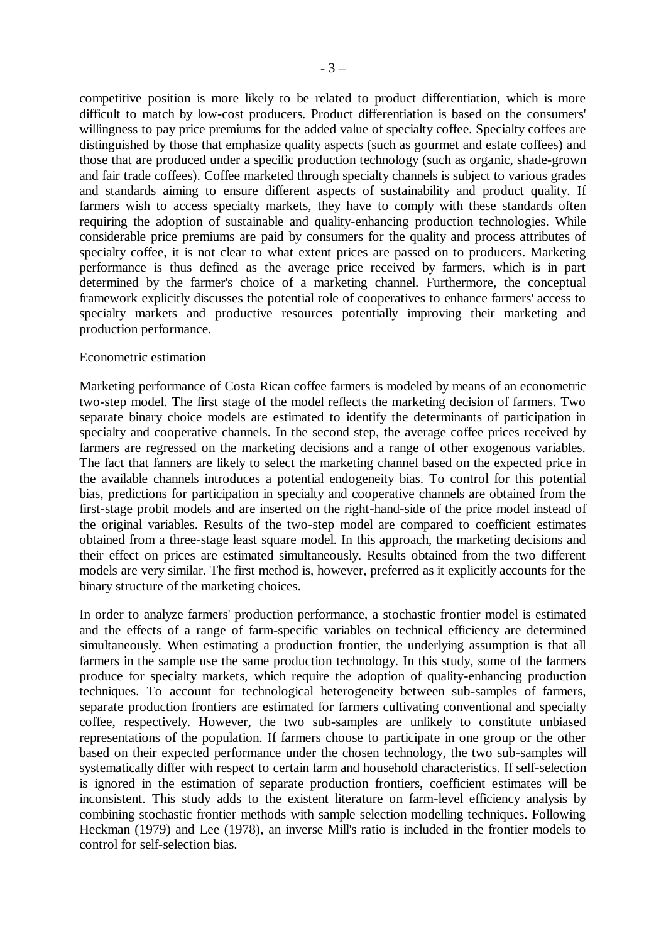competitive position is more likely to be related to product differentiation, which is more difficult to match by low-cost producers. Product differentiation is based on the consumers' willingness to pay price premiums for the added value of specialty coffee. Specialty coffees are distinguished by those that emphasize quality aspects (such as gourmet and estate coffees) and those that are produced under a specific production technology (such as organic, shade-grown and fair trade coffees). Coffee marketed through specialty channels is subject to various grades and standards aiming to ensure different aspects of sustainability and product quality. If farmers wish to access specialty markets, they have to comply with these standards often requiring the adoption of sustainable and quality-enhancing production technologies. While considerable price premiums are paid by consumers for the quality and process attributes of specialty coffee, it is not clear to what extent prices are passed on to producers. Marketing performance is thus defined as the average price received by farmers, which is in part determined by the farmer's choice of a marketing channel. Furthermore, the conceptual framework explicitly discusses the potential role of cooperatives to enhance farmers' access to specialty markets and productive resources potentially improving their marketing and production performance.

#### Econometric estimation

Marketing performance of Costa Rican coffee farmers is modeled by means of an econometric two-step model. The first stage of the model reflects the marketing decision of farmers. Two separate binary choice models are estimated to identify the determinants of participation in specialty and cooperative channels. In the second step, the average coffee prices received by farmers are regressed on the marketing decisions and a range of other exogenous variables. The fact that fanners are likely to select the marketing channel based on the expected price in the available channels introduces a potential endogeneity bias. To control for this potential bias, predictions for participation in specialty and cooperative channels are obtained from the first-stage probit models and are inserted on the right-hand-side of the price model instead of the original variables. Results of the two-step model are compared to coefficient estimates obtained from a three-stage least square model. In this approach, the marketing decisions and their effect on prices are estimated simultaneously. Results obtained from the two different models are very similar. The first method is, however, preferred as it explicitly accounts for the binary structure of the marketing choices.

In order to analyze farmers' production performance, a stochastic frontier model is estimated and the effects of a range of farm-specific variables on technical efficiency are determined simultaneously. When estimating a production frontier, the underlying assumption is that all farmers in the sample use the same production technology. In this study, some of the farmers produce for specialty markets, which require the adoption of quality-enhancing production techniques. To account for technological heterogeneity between sub-samples of farmers, separate production frontiers are estimated for farmers cultivating conventional and specialty coffee, respectively. However, the two sub-samples are unlikely to constitute unbiased representations of the population. If farmers choose to participate in one group or the other based on their expected performance under the chosen technology, the two sub-samples will systematically differ with respect to certain farm and household characteristics. If self-selection is ignored in the estimation of separate production frontiers, coefficient estimates will be inconsistent. This study adds to the existent literature on farm-level efficiency analysis by combining stochastic frontier methods with sample selection modelling techniques. Following Heckman (1979) and Lee (1978), an inverse Mill's ratio is included in the frontier models to control for self-selection bias.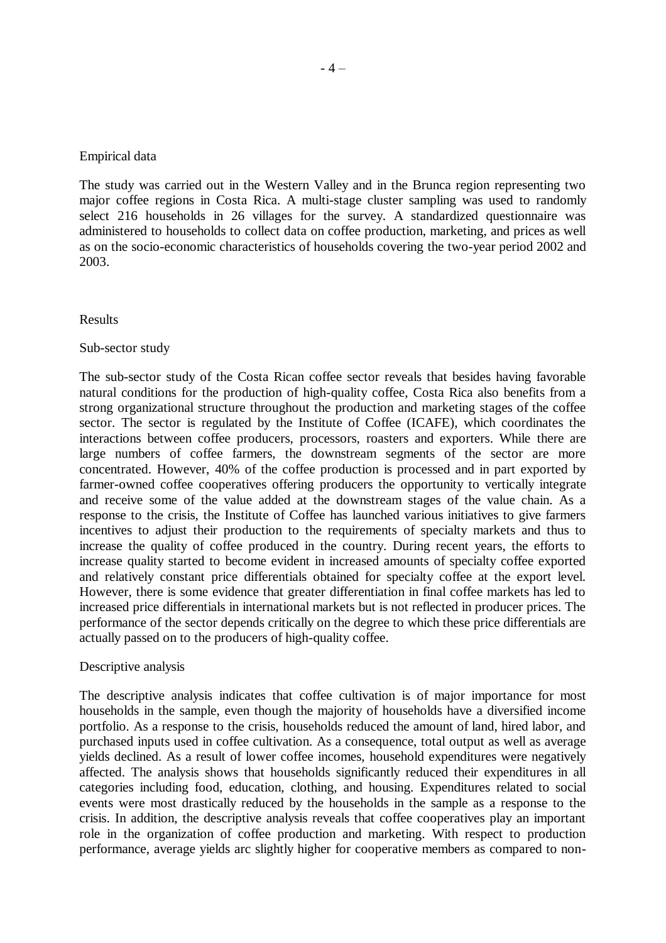### Empirical data

The study was carried out in the Western Valley and in the Brunca region representing two major coffee regions in Costa Rica. A multi-stage cluster sampling was used to randomly select 216 households in 26 villages for the survey. A standardized questionnaire was administered to households to collect data on coffee production, marketing, and prices as well as on the socio-economic characteristics of households covering the two-year period 2002 and 2003.

#### Results

#### Sub-sector study

The sub-sector study of the Costa Rican coffee sector reveals that besides having favorable natural conditions for the production of high-quality coffee, Costa Rica also benefits from a strong organizational structure throughout the production and marketing stages of the coffee sector. The sector is regulated by the Institute of Coffee (ICAFE), which coordinates the interactions between coffee producers, processors, roasters and exporters. While there are large numbers of coffee farmers, the downstream segments of the sector are more concentrated. However, 40% of the coffee production is processed and in part exported by farmer-owned coffee cooperatives offering producers the opportunity to vertically integrate and receive some of the value added at the downstream stages of the value chain. As a response to the crisis, the Institute of Coffee has launched various initiatives to give farmers incentives to adjust their production to the requirements of specialty markets and thus to increase the quality of coffee produced in the country. During recent years, the efforts to increase quality started to become evident in increased amounts of specialty coffee exported and relatively constant price differentials obtained for specialty coffee at the export level. However, there is some evidence that greater differentiation in final coffee markets has led to increased price differentials in international markets but is not reflected in producer prices. The performance of the sector depends critically on the degree to which these price differentials are actually passed on to the producers of high-quality coffee.

### Descriptive analysis

The descriptive analysis indicates that coffee cultivation is of major importance for most households in the sample, even though the majority of households have a diversified income portfolio. As a response to the crisis, households reduced the amount of land, hired labor, and purchased inputs used in coffee cultivation. As a consequence, total output as well as average yields declined. As a result of lower coffee incomes, household expenditures were negatively affected. The analysis shows that households significantly reduced their expenditures in all categories including food, education, clothing, and housing. Expenditures related to social events were most drastically reduced by the households in the sample as a response to the crisis. In addition, the descriptive analysis reveals that coffee cooperatives play an important role in the organization of coffee production and marketing. With respect to production performance, average yields arc slightly higher for cooperative members as compared to non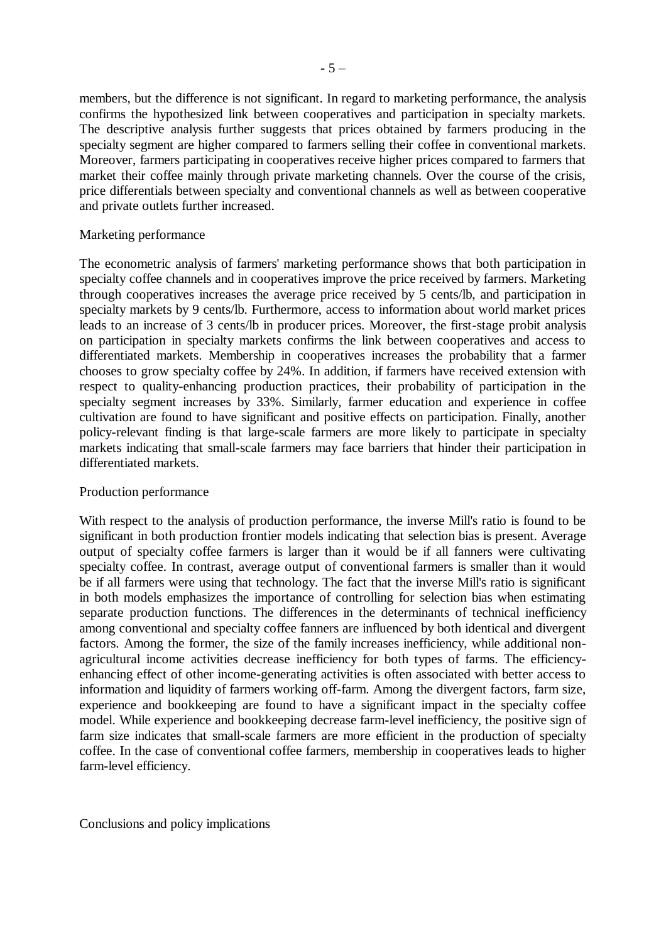members, but the difference is not significant. In regard to marketing performance, the analysis confirms the hypothesized link between cooperatives and participation in specialty markets. The descriptive analysis further suggests that prices obtained by farmers producing in the specialty segment are higher compared to farmers selling their coffee in conventional markets. Moreover, farmers participating in cooperatives receive higher prices compared to farmers that market their coffee mainly through private marketing channels. Over the course of the crisis, price differentials between specialty and conventional channels as well as between cooperative and private outlets further increased.

### Marketing performance

The econometric analysis of farmers' marketing performance shows that both participation in specialty coffee channels and in cooperatives improve the price received by farmers. Marketing through cooperatives increases the average price received by 5 cents/lb, and participation in specialty markets by 9 cents/lb. Furthermore, access to information about world market prices leads to an increase of 3 cents/lb in producer prices. Moreover, the first-stage probit analysis on participation in specialty markets confirms the link between cooperatives and access to differentiated markets. Membership in cooperatives increases the probability that a farmer chooses to grow specialty coffee by 24%. In addition, if farmers have received extension with respect to quality-enhancing production practices, their probability of participation in the specialty segment increases by 33%. Similarly, farmer education and experience in coffee cultivation are found to have significant and positive effects on participation. Finally, another policy-relevant finding is that large-scale farmers are more likely to participate in specialty markets indicating that small-scale farmers may face barriers that hinder their participation in differentiated markets.

## Production performance

With respect to the analysis of production performance, the inverse Mill's ratio is found to be significant in both production frontier models indicating that selection bias is present. Average output of specialty coffee farmers is larger than it would be if all fanners were cultivating specialty coffee. In contrast, average output of conventional farmers is smaller than it would be if all farmers were using that technology. The fact that the inverse Mill's ratio is significant in both models emphasizes the importance of controlling for selection bias when estimating separate production functions. The differences in the determinants of technical inefficiency among conventional and specialty coffee fanners are influenced by both identical and divergent factors. Among the former, the size of the family increases inefficiency, while additional nonagricultural income activities decrease inefficiency for both types of farms. The efficiencyenhancing effect of other income-generating activities is often associated with better access to information and liquidity of farmers working off-farm. Among the divergent factors, farm size, experience and bookkeeping are found to have a significant impact in the specialty coffee model. While experience and bookkeeping decrease farm-level inefficiency, the positive sign of farm size indicates that small-scale farmers are more efficient in the production of specialty coffee. In the case of conventional coffee farmers, membership in cooperatives leads to higher farm-level efficiency.

Conclusions and policy implications